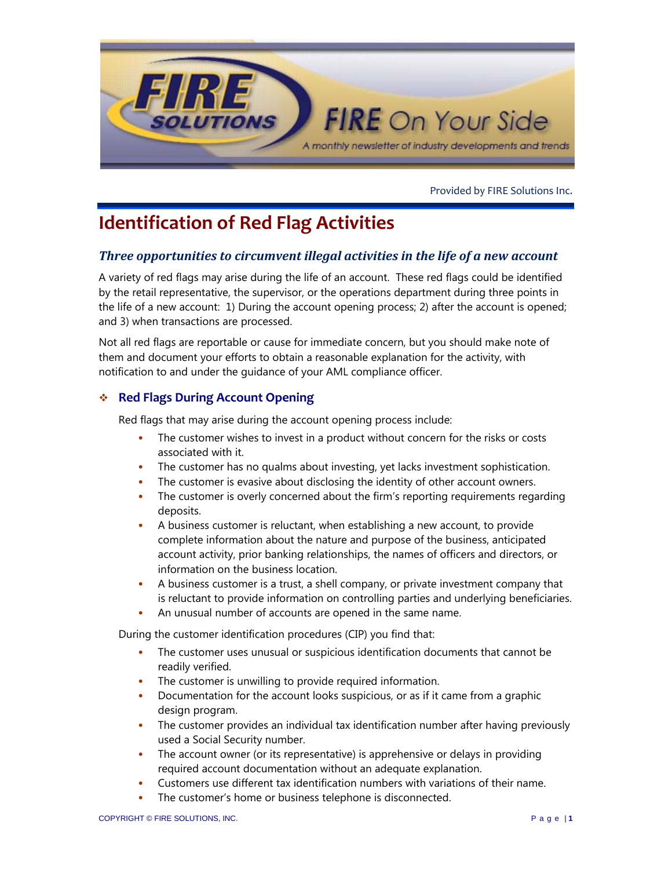

Provided by FIRE Solutions Inc.

# **Identification of Red Flag Activities**

## *Three opportunities to circumvent illegal activities in the life of a new account*

A variety of red flags may arise during the life of an account. These red flags could be identified by the retail representative, the supervisor, or the operations department during three points in the life of a new account: 1) During the account opening process; 2) after the account is opened; and 3) when transactions are processed.

Not all red flags are reportable or cause for immediate concern, but you should make note of them and document your efforts to obtain a reasonable explanation for the activity, with notification to and under the guidance of your AML compliance officer.

### **Red Flags During Account Opening**

Red flags that may arise during the account opening process include:

- The customer wishes to invest in a product without concern for the risks or costs associated with it.
- The customer has no qualms about investing, yet lacks investment sophistication.
- The customer is evasive about disclosing the identity of other account owners.
- The customer is overly concerned about the firm's reporting requirements regarding deposits.
- A business customer is reluctant, when establishing a new account, to provide complete information about the nature and purpose of the business, anticipated account activity, prior banking relationships, the names of officers and directors, or information on the business location.
- A business customer is a trust, a shell company, or private investment company that is reluctant to provide information on controlling parties and underlying beneficiaries.
- An unusual number of accounts are opened in the same name.

During the customer identification procedures (CIP) you find that:

- The customer uses unusual or suspicious identification documents that cannot be readily verified.
- The customer is unwilling to provide required information.
- Documentation for the account looks suspicious, or as if it came from a graphic design program.
- The customer provides an individual tax identification number after having previously used a Social Security number.
- The account owner (or its representative) is apprehensive or delays in providing required account documentation without an adequate explanation.
- Customers use different tax identification numbers with variations of their name.
- The customer's home or business telephone is disconnected.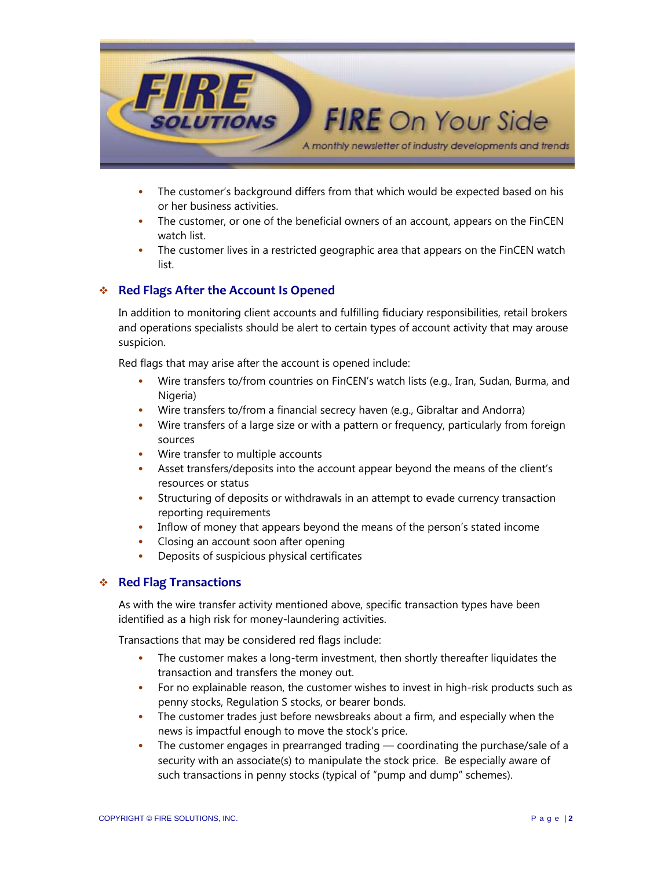

- The customer's background differs from that which would be expected based on his or her business activities.
- The customer, or one of the beneficial owners of an account, appears on the FinCEN watch list.
- The customer lives in a restricted geographic area that appears on the FinCEN watch list.

#### **Red Flags After the Account Is Opened**

In addition to monitoring client accounts and fulfilling fiduciary responsibilities, retail brokers and operations specialists should be alert to certain types of account activity that may arouse suspicion.

Red flags that may arise after the account is opened include:

- Wire transfers to/from countries on FinCEN's watch lists (e.g., Iran, Sudan, Burma, and Nigeria)
- Wire transfers to/from a financial secrecy haven (e.g., Gibraltar and Andorra)
- Wire transfers of a large size or with a pattern or frequency, particularly from foreign sources
- Wire transfer to multiple accounts
- Asset transfers/deposits into the account appear beyond the means of the client's resources or status
- Structuring of deposits or withdrawals in an attempt to evade currency transaction reporting requirements
- Inflow of money that appears beyond the means of the person's stated income
- Closing an account soon after opening
- Deposits of suspicious physical certificates

#### **Red Flag Transactions**

As with the wire transfer activity mentioned above, specific transaction types have been identified as a high risk for money-laundering activities.

Transactions that may be considered red flags include:

- The customer makes a long-term investment, then shortly thereafter liquidates the transaction and transfers the money out.
- For no explainable reason, the customer wishes to invest in high-risk products such as penny stocks, Regulation S stocks, or bearer bonds.
- The customer trades just before newsbreaks about a firm, and especially when the news is impactful enough to move the stock's price.
- The customer engages in prearranged trading coordinating the purchase/sale of a security with an associate(s) to manipulate the stock price. Be especially aware of such transactions in penny stocks (typical of "pump and dump" schemes).